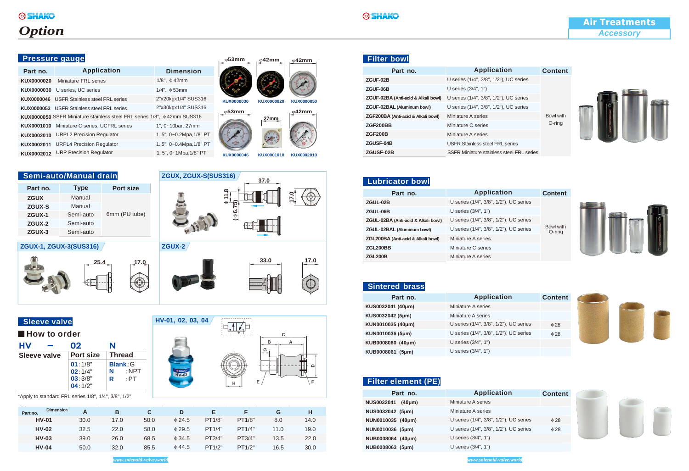## *Option*

| Part no.                                                                      | <b>Application</b>                                | <b>Dimension</b>        |  |  |
|-------------------------------------------------------------------------------|---------------------------------------------------|-------------------------|--|--|
| KUX0000020                                                                    | Miniature FRL series                              | $1/8$ ", $\phi$ 42mm    |  |  |
| KUX0000030                                                                    | U series, UC series                               | $1/4$ ", $\phi$ 53mm    |  |  |
|                                                                               | KUX0000046 USFR Stainless steel FRL series        | 2"x20kgx1/4" SUS316     |  |  |
|                                                                               | <b>KUX0000053</b> USFR Stainless steel FRL series | 2"x30kgx1/4" SUS316     |  |  |
| KUX0000050 SSFR Miniature stainless steel FRL series 1/8", $\phi$ 42mm SUS316 |                                                   |                         |  |  |
| KUX0001010                                                                    | Miniature C series, UCFRL series                  | 1", 0~10bar, 27mm       |  |  |
| KUX0002010                                                                    | <b>URPL2 Precision Regulator</b>                  | 1.5", 0~0.2Mpa, 1/8" PT |  |  |
| KUX0002011                                                                    | <b>URPL4 Precision Regulator</b>                  | 1.5", 0~0.4Mpa, 1/8" PT |  |  |
| KUX0002012                                                                    | <b>URP Precision Regulator</b>                    | 1.5", 0~1Mpa, 1/8" PT   |  |  |

| <b>Pressure gauge</b> |                                                                               |                         | $\phi$ 53mm     | $\omega$ 42mm | $\Phi$ 42mm       |  |
|-----------------------|-------------------------------------------------------------------------------|-------------------------|-----------------|---------------|-------------------|--|
| Part no.              | <b>Application</b>                                                            | <b>Dimension</b>        |                 |               |                   |  |
| KUX0000020            | Miniature FRL series                                                          | $1/8$ ", $\phi$ 42mm    |                 |               |                   |  |
| KUX0000030            | U series, UC series                                                           | $1/4$ ", $\phi$ 53mm    |                 |               |                   |  |
| KUX0000046            | <b>USFR Stainless steel FRL series</b>                                        | 2"x20kgx1/4" SUS316     | KUX0000030      | KUX0000020    | <b>KUX0000050</b> |  |
| KUX0000053            | <b>USFR Stainless steel FRL series</b>                                        | 2"x30kgx1/4" SUS316     |                 |               |                   |  |
|                       | KUX0000050 SSFR Miniature stainless steel FRL series 1/8", $\Phi$ 42mm SUS316 |                         | $ \varphi$ 53mm | $27$ mm       | $\Phi$ 42mm       |  |
| KUX0001010            | Miniature C series, UCFRL series                                              | 1", 0~10bar, 27mm       |                 |               |                   |  |
| KUX0002010            | <b>URPL2 Precision Regulator</b>                                              | 1.5", 0~0.2Mpa, 1/8" PT |                 |               |                   |  |
| KUX0002011            | <b>URPL4 Precision Regulator</b>                                              | 1.5", 0~0.4Mpa, 1/8" PT |                 |               |                   |  |
|                       |                                                                               |                         |                 |               |                   |  |

φ**11.8**

**(**φ**6.75)**

. . . . . . . . . .  $\begin{picture}(20,10) \put(0,0){\line(1,0){10}} \put(15,0){\line(1,0){10}} \put(15,0){\line(1,0){10}} \put(15,0){\line(1,0){10}} \put(15,0){\line(1,0){10}} \put(15,0){\line(1,0){10}} \put(15,0){\line(1,0){10}} \put(15,0){\line(1,0){10}} \put(15,0){\line(1,0){10}} \put(15,0){\line(1,0){10}} \put(15,0){\line(1,0){10}} \put(15,0){\line(1$ 

# φ**42mm**

**C**

**D**

**B A G**

**H E F**

**37.0**

**KUX0000046 KUX0001010 KUX0002010**

**17.0**

 $\bigcirc$ 

#### **Semi-auto/Manual drain ZGUX, ZGUX-S(SUS316) ZGUX-3** Semi-auto **ZGUX-2** Semi-auto **ZGUX-1** Semi-auto 6mm (PU tube) **ZGUX-S** Manual **ZGUX** Manual **Part no. Type Port size**

**ZGUX-1, ZGUX-3(SUS316)**



| 25.4 | 7.0 | 33.0 | 17.0 |
|------|-----|------|------|
| н-г  |     |      |      |
|      |     |      |      |

| <b>Sleeve valve</b> |  |
|---------------------|--|
|                     |  |

| <b>How to order</b> |
|---------------------|
|---------------------|

| <b>HV</b>    | 02                     | N |                 |
|--------------|------------------------|---|-----------------|
| Sleeve valve | <b>Port size</b>       |   | <b>Thread</b>   |
|              | $01:1/8"$<br>$02:1/4"$ |   | <b>Blank: G</b> |
|              |                        | N | $:$ NPT         |
|              | 03:3/8"                | R | :PT             |
|              | 04:1/2"                |   |                 |

\*Apply to standard FRL series 1/8", 1/4", 3/8", 1/2"

| <b>Dimension</b><br>Part no. |      | в    | C.   |             |        |        |      | н    |
|------------------------------|------|------|------|-------------|--------|--------|------|------|
| <b>HV-01</b>                 | 30.0 | 17.0 | 50.0 | $\Phi$ 24.5 | PT1/8" | PT1/8" | 8.0  | 14.0 |
| <b>HV-02</b>                 | 32.5 | 22.0 | 58.0 | $\Phi$ 29.5 | PT1/4" | PT1/4" | 11.0 | 19.0 |
| <b>HV-03</b>                 | 39.0 | 26.0 | 68.5 | $\Phi$ 34.5 | PT3/4" | PT3/4" | 13.5 | 22.0 |
| <b>HV-04</b>                 | 50.0 | 32.0 | 85.5 | $\Phi$ 44.5 | PT1/2" | PT1/2" | 16.5 | 30.0 |

**ZGUX-2**

**HV-01, 02, 03, 04**

SHAKO

| <b>Application</b>                        | <b>Content</b>   |
|-------------------------------------------|------------------|
| U series (1/4", 3/8", 1/2"), UC series    |                  |
| U series (3/4", 1")                       |                  |
| U series (1/4", 3/8", 1/2"), UC series    |                  |
| U series (1/4", 3/8", 1/2"), UC series    |                  |
| Miniature A series                        | <b>Bowl with</b> |
| Miniature C series                        | O-ring           |
| Miniature A series                        |                  |
| <b>USFR Stainless steel FRL series</b>    |                  |
| SSFR Miniature stainless steel FRL series |                  |
|                                           |                  |



| <b>Lubricator bowl</b>              |                                        |                     |
|-------------------------------------|----------------------------------------|---------------------|
| Part no.                            | <b>Application</b>                     | <b>Content</b>      |
| ZGUL-02B                            | U series (1/4", 3/8", 1/2"), UC series |                     |
| ZGUL-06B                            | U series (3/4", 1")                    |                     |
| ZGUL-02BA (Anti-acid & Alkali bowl) | U series (1/4", 3/8", 1/2"), UC series |                     |
| ZGUL-02BAL (Aluminum bowl)          | U series (1/4", 3/8", 1/2"), UC series | Bowl with<br>O-ring |
| ZGL200BA (Anti-acid & Alkali bowl)  | Miniature A series                     |                     |
| <b>ZGL200BB</b>                     | Miniature C series                     |                     |
| <b>ZGL200B</b>                      | Miniature A series                     |                     |

### **Sintered brass**

| Part no.          | <b>Application</b>                     | <b>Content</b> |  |
|-------------------|----------------------------------------|----------------|--|
| KUS0032041 (40µm) | Miniature A series                     |                |  |
| KUS0032042 (5µm)  | Miniature A series                     |                |  |
| KUN0010035 (40µm) | U series (1/4", 3/8", 1/2"), UC series | $\Phi$ 28      |  |
| KUN0010036 (5µm)  | U series (1/4", 3/8", 1/2"), UC series | $\Phi$ 28      |  |
| KUB0008060 (40µm) | U series (3/4", 1")                    |                |  |
| KUB0008061 (5µm)  | U series (3/4", 1")                    |                |  |

#### **Filter element (PE)**

| Part no.                          | <b>Application</b>                     | <b>Content</b> |
|-----------------------------------|----------------------------------------|----------------|
| <b>NUS0032041</b><br>$(40 \mu m)$ | Miniature A series                     |                |
| NUS0032042 (5µm)                  | Miniature A series                     |                |
| NUN0010035 (40µm)                 | U series (1/4", 3/8", 1/2"), UC series | $\Phi$ 28      |
| NUN0010036 (5µm)                  | U series (1/4", 3/8", 1/2"), UC series | $\Phi$ 28      |
| NUB0008064 (40µm)                 | U series $(3/4", 1")$                  |                |
| NUB0008063 (5µm)                  | U series $(3/4", 1")$                  |                |

*www.solenoid-valve.world www.solenoid-valve.world*